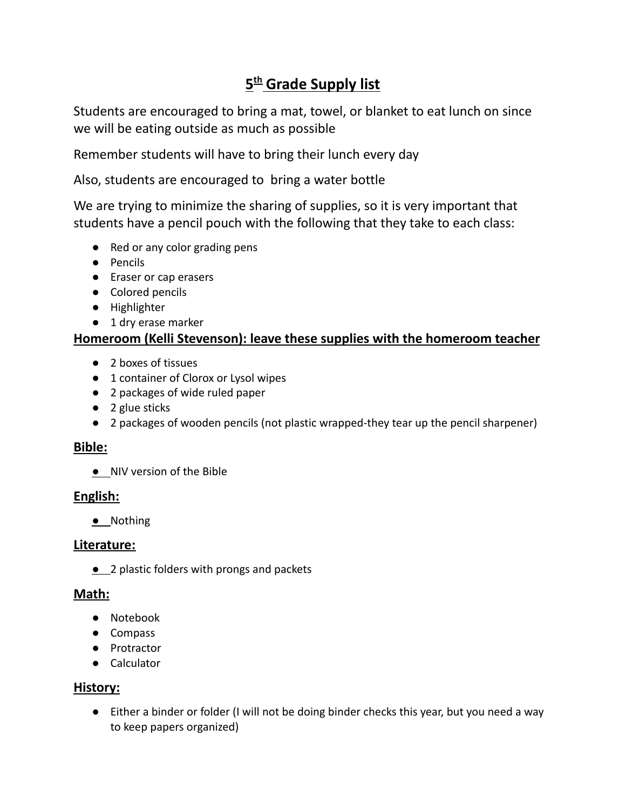# **5 th Grade Supply list**

Students are encouraged to bring a mat, towel, or blanket to eat lunch on since we will be eating outside as much as possible

Remember students will have to bring their lunch every day

Also, students are encouraged to bring a water bottle

We are trying to minimize the sharing of supplies, so it is very important that students have a pencil pouch with the following that they take to each class:

- Red or any color grading pens
- Pencils
- Eraser or cap erasers
- Colored pencils
- Highlighter
- 1 dry erase marker

### **Homeroom (Kelli Stevenson): leave these supplies with the homeroom teacher**

- 2 boxes of tissues
- 1 container of Clorox or Lysol wipes
- 2 packages of wide ruled paper
- 2 glue sticks
- 2 packages of wooden pencils (not plastic wrapped-they tear up the pencil sharpener)

#### **Bible:**

**●** NIV version of the Bible

## **English:**

**●** Nothing

#### **Literature:**

**●** 2 plastic folders with prongs and packets

#### **Math:**

- Notebook
- Compass
- Protractor
- Calculator

## **History:**

● Either a binder or folder (I will not be doing binder checks this year, but you need a way to keep papers organized)